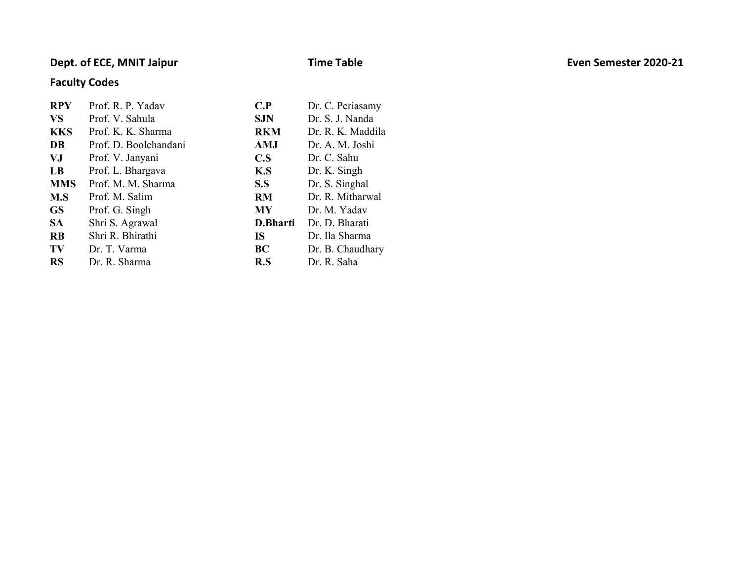### Dept. of ECE, MNIT Jaipur **Exercise Exercise 2020-21** Time Table **The Semester 2020-21** Even Semester 2020-21

### Faculty Codes

| <b>RPY</b> | Prof. R. P. Yadav     | C.P        | Dr. C. Periasamy  |
|------------|-----------------------|------------|-------------------|
| <b>VS</b>  | Prof. V. Sahula       | <b>SJN</b> | Dr. S. J. Nanda   |
| <b>KKS</b> | Prof. K. K. Sharma    | <b>RKM</b> | Dr. R. K. Maddila |
| DB         | Prof. D. Boolchandani | <b>AMJ</b> | Dr. A. M. Joshi   |
| VJ         | Prof. V. Janyani      | C.S        | Dr. C. Sahu       |
| LB         | Prof. L. Bhargava     | K.S        | Dr. K. Singh      |
| <b>MMS</b> | Prof. M. M. Sharma    | S.S        | Dr. S. Singhal    |
| M.S        | Prof. M. Salim        | <b>RM</b>  | Dr. R. Mitharwal  |
| <b>GS</b>  | Prof. G. Singh        | <b>MY</b>  | Dr. M. Yadav      |
| <b>SA</b>  | Shri S. Agrawal       | D.Bharti   | Dr. D. Bharati    |
| <b>RB</b>  | Shri R. Bhirathi      | <b>IS</b>  | Dr. Ila Sharma    |
| TV         | Dr. T. Varma          | BC         | Dr. B. Chaudhary  |
| <b>RS</b>  | Dr. R. Sharma         | R.S        | Dr. R. Saha       |
|            |                       |            |                   |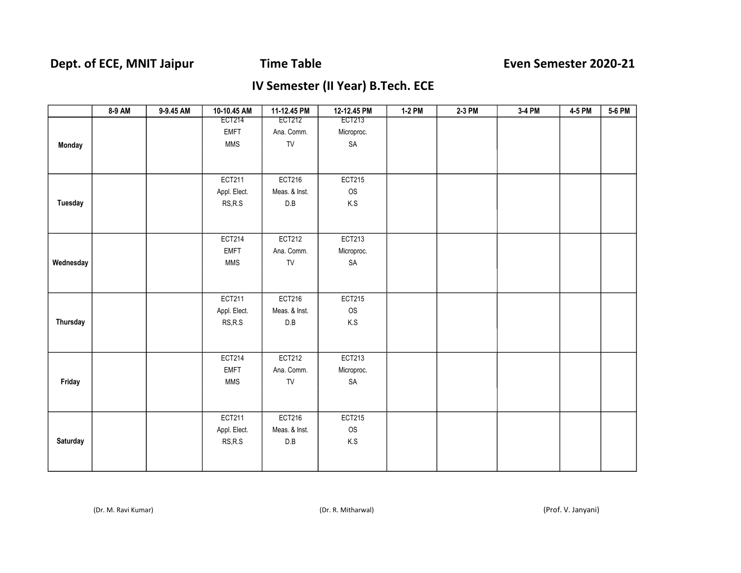## Dept. of ECE, MNIT Jaipur Time Table **The Senution Semester 2020-21**

## IV Semester (II Year) B.Tech. ECE

|           | 8-9 AM | 9-9.45 AM | 10-10.45 AM                                      | 11-12.45 PM             | 12-12.45 PM             | 1-2 PM | 2-3 PM | 3-4 PM | 4-5 PM | 5-6 PM |
|-----------|--------|-----------|--------------------------------------------------|-------------------------|-------------------------|--------|--------|--------|--------|--------|
|           |        |           | <b>ECT214</b>                                    | <b>ECT212</b>           | <b>ECT213</b>           |        |        |        |        |        |
|           |        |           | <b>EMFT</b>                                      | Ana. Comm.              | Microproc.              |        |        |        |        |        |
| Monday    |        |           | <b>MMS</b>                                       | ${\sf TV}$              | SA                      |        |        |        |        |        |
|           |        |           |                                                  |                         |                         |        |        |        |        |        |
|           |        |           |                                                  |                         |                         |        |        |        |        |        |
|           |        |           | ECT211                                           | ECT216                  | <b>ECT215</b>           |        |        |        |        |        |
|           |        |           | Appl. Elect.                                     | Meas. & Inst.           | OS                      |        |        |        |        |        |
| Tuesday   |        |           | RS, R.S                                          | $\mathsf{D}.\mathsf{B}$ | $\mathsf{K}.\mathsf{S}$ |        |        |        |        |        |
|           |        |           |                                                  |                         |                         |        |        |        |        |        |
|           |        |           |                                                  |                         |                         |        |        |        |        |        |
|           |        |           | <b>ECT214</b>                                    | <b>ECT212</b>           | ECT213                  |        |        |        |        |        |
|           |        |           | <b>EMFT</b>                                      | Ana. Comm.              | Microproc.              |        |        |        |        |        |
| Wednesday |        |           | <b>MMS</b>                                       | TV                      | SA                      |        |        |        |        |        |
|           |        |           |                                                  |                         |                         |        |        |        |        |        |
|           |        |           |                                                  |                         |                         |        |        |        |        |        |
|           |        |           | ECT211                                           | ECT216                  | <b>ECT215</b>           |        |        |        |        |        |
|           |        |           | Appl. Elect.                                     | Meas. & Inst.           | OS                      |        |        |        |        |        |
| Thursday  |        |           | RS, R.S                                          | $\mathsf{D}.\mathsf{B}$ | $\mathsf{K}.\mathsf{S}$ |        |        |        |        |        |
|           |        |           |                                                  |                         |                         |        |        |        |        |        |
|           |        |           |                                                  |                         |                         |        |        |        |        |        |
|           |        |           | ECT214                                           | <b>ECT212</b>           | ECT213                  |        |        |        |        |        |
|           |        |           | <b>EMFT</b>                                      | Ana. Comm.              | Microproc.              |        |        |        |        |        |
| Friday    |        |           | <b>MMS</b>                                       | TV                      | $\mathsf{SA}$           |        |        |        |        |        |
|           |        |           |                                                  |                         |                         |        |        |        |        |        |
|           |        |           |                                                  |                         |                         |        |        |        |        |        |
|           |        |           | ECT211                                           | ECT216                  | <b>ECT215</b>           |        |        |        |        |        |
|           |        |           | Appl. Elect.                                     | Meas. & Inst.           | OS                      |        |        |        |        |        |
| Saturday  |        |           | $\ensuremath{\mathsf{RS},\mathsf{R}.\mathsf{S}}$ | $\mathsf{D}.\mathsf{B}$ | K.S                     |        |        |        |        |        |
|           |        |           |                                                  |                         |                         |        |        |        |        |        |
|           |        |           |                                                  |                         |                         |        |        |        |        |        |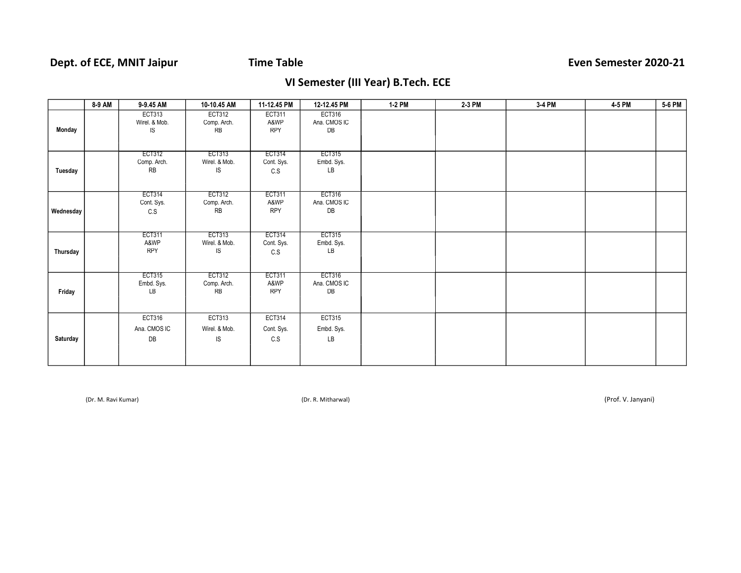### VI Semester (III Year) B.Tech. ECE

|           | 8-9 AM | 9-9.45 AM                            | 10-10.45 AM                          | 11-12.45 PM                         | 12-12.45 PM                         | 1-2 PM | 2-3 PM | 3-4 PM | 4-5 PM | 5-6 PM |
|-----------|--------|--------------------------------------|--------------------------------------|-------------------------------------|-------------------------------------|--------|--------|--------|--------|--------|
| Monday    |        | <b>ECT313</b><br>Wirel. & Mob.<br>IS | ECT312<br>Comp. Arch.<br><b>RB</b>   | <b>ECT311</b><br>A&WP<br><b>RPY</b> | <b>ECT316</b><br>Ana. CMOS IC<br>DB |        |        |        |        |        |
| Tuesday   |        | ECT312<br>Comp. Arch.<br><b>RB</b>   | ECT313<br>Wirel. & Mob.<br>IS        | ECT314<br>Cont. Sys.<br>C.S         | ECT315<br>Embd. Sys.<br>LB          |        |        |        |        |        |
| Wednesday |        | ECT314<br>Cont. Sys.<br>C.S          | ECT312<br>Comp. Arch.<br><b>RB</b>   | ECT311<br>A&WP<br><b>RPY</b>        | ECT316<br>Ana. CMOS IC<br>DB        |        |        |        |        |        |
| Thursday  |        | ECT311<br>A&WP<br><b>RPY</b>         | ECT313<br>Wirel. & Mob.<br>IS        | ECT314<br>Cont. Sys.<br>C.S         | <b>ECT315</b><br>Embd. Sys.<br>LB   |        |        |        |        |        |
| Friday    |        | ECT315<br>Embd. Sys.<br>LB           | ECT312<br>Comp. Arch.<br>RB          | ECT311<br>A&WP<br><b>RPY</b>        | ECT316<br>Ana. CMOS IC<br>DB        |        |        |        |        |        |
| Saturday  |        | <b>ECT316</b><br>Ana. CMOS IC<br>DB  | <b>ECT313</b><br>Wirel. & Mob.<br>IS | <b>ECT314</b><br>Cont. Sys.<br>C.S  | <b>ECT315</b><br>Embd. Sys.<br>LB   |        |        |        |        |        |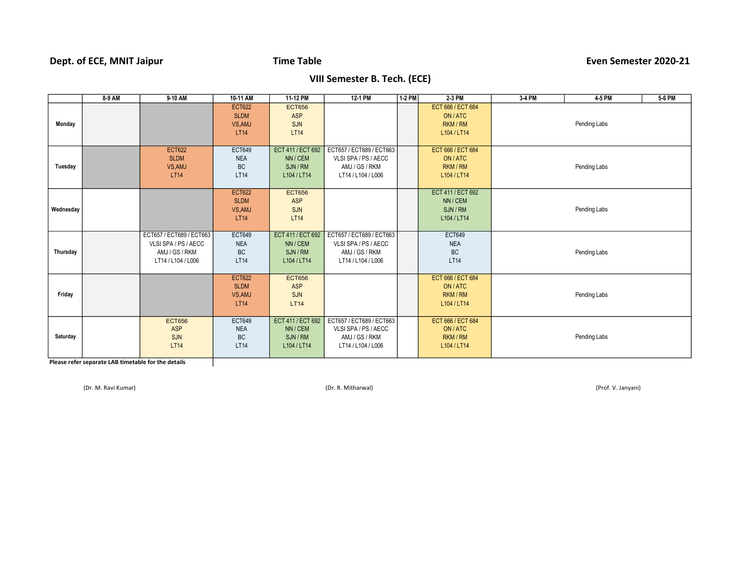### Dept. of ECE, MNIT Jaipur **Time Table Time Table Even Semester 2020-21**

### VIII Semester B. Tech. (ECE)

|           | $8-9$ AM | 9-10 AM                                                                                  | 10-11 AM                                         | 11-12 PM                                                 | 12-1 PM                                                                                  | 1-2 PM | 2-3 PM                                                 | 3-4 PM | 4-5 PM       | 5-6 PM |
|-----------|----------|------------------------------------------------------------------------------------------|--------------------------------------------------|----------------------------------------------------------|------------------------------------------------------------------------------------------|--------|--------------------------------------------------------|--------|--------------|--------|
| Monday    |          |                                                                                          | <b>ECT622</b><br><b>SLDM</b><br>VS.AMJ<br>LT14   | <b>ECT656</b><br><b>ASP</b><br>SJN<br><b>LT14</b>        |                                                                                          |        | ECT 666 / ECT 684<br>ON/ATC<br>RKM / RM<br>L104 / LT14 |        | Pending Labs |        |
| Tuesday   |          | <b>ECT622</b><br><b>SLDM</b><br>VS, AMJ<br>LT14                                          | <b>ECT649</b><br><b>NEA</b><br><b>BC</b><br>LT14 | ECT 411 / ECT 692<br>NN/CEM<br>SJN/RM<br>L104 / LT14     | ECT657 / ECT689 / ECT663<br>VLSI SPA / PS / AECC<br>AMJ / GS / RKM<br>LT14 / L104 / L006 |        | ECT 666 / ECT 684<br>ON/ATC<br>RKM / RM<br>L104 / LT14 |        | Pending Labs |        |
| Wednesday |          |                                                                                          | <b>ECT622</b><br><b>SLDM</b><br>VS, AMJ<br>LT14  | <b>ECT656</b><br><b>ASP</b><br>SJN<br><b>LT14</b>        |                                                                                          |        | ECT 411 / ECT 692<br>NN / CEM<br>SJN/RM<br>L104 / LT14 |        | Pending Labs |        |
| Thursday  |          | ECT657 / ECT689 / ECT663<br>VLSI SPA / PS / AECC<br>AMJ / GS / RKM<br>LT14 / L104 / L006 | <b>ECT649</b><br><b>NEA</b><br><b>BC</b><br>LT14 | ECT 411 / ECT 692<br>NN/CEM<br>SJN/RM<br>L104 / LT14     | ECT657 / ECT689 / ECT663<br>VLSI SPA / PS / AECC<br>AMJ / GS / RKM<br>LT14 / L104 / L006 |        | <b>ECT649</b><br><b>NEA</b><br><b>BC</b><br>LT14       |        | Pending Labs |        |
| Friday    |          |                                                                                          | <b>ECT622</b><br><b>SLDM</b><br>VS, AMJ<br>LT14  | <b>ECT656</b><br><b>ASP</b><br>SJN<br><b>LT14</b>        |                                                                                          |        | ECT 666 / ECT 684<br>ON/ATC<br>RKM / RM<br>L104 / LT14 |        | Pending Labs |        |
| Saturday  |          | <b>ECT656</b><br>ASP<br>SJN<br><b>LT14</b>                                               | <b>ECT649</b><br><b>NEA</b><br><b>BC</b><br>LT14 | ECT 411 / ECT 692<br>NN / CEM<br>SJN / RM<br>L104 / LT14 | ECT657 / ECT689 / ECT663<br>VLSI SPA / PS / AECC<br>AMJ / GS / RKM<br>LT14 / L104 / L006 |        | ECT 666 / ECT 684<br>ON/ATC<br>RKM / RM<br>L104 / LT14 |        | Pending Labs |        |

Please refer separate LAB timetable for the details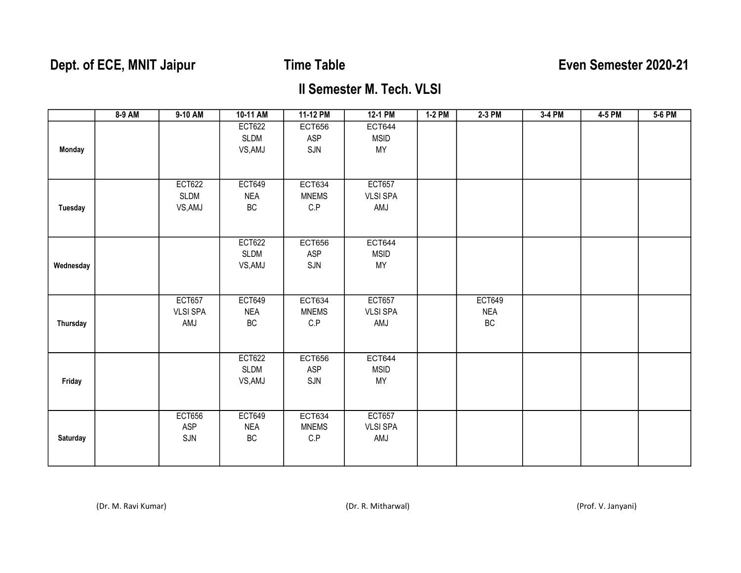# Dept. of ECE, MNIT Jaipur Time Table **The Senution Semester 2020-21**

### II Semester M. Tech. VLSI

|                 | 8-9 AM | $9-10$ AM       | 10-11 AM      | 11-12 PM                | $12-1$ PM       | $1-2$ PM | 2-3 PM        | $3-4$ PM | 4-5 PM | $5-6$ PM |
|-----------------|--------|-----------------|---------------|-------------------------|-----------------|----------|---------------|----------|--------|----------|
|                 |        |                 | <b>ECT622</b> | <b>ECT656</b>           | <b>ECT644</b>   |          |               |          |        |          |
|                 |        |                 | <b>SLDM</b>   | ASP                     | <b>MSID</b>     |          |               |          |        |          |
| Monday          |        |                 | VS, AMJ       | SJN                     | MY              |          |               |          |        |          |
|                 |        |                 |               |                         |                 |          |               |          |        |          |
|                 |        |                 |               |                         |                 |          |               |          |        |          |
|                 |        | <b>ECT622</b>   | <b>ECT649</b> | ECT634                  | <b>ECT657</b>   |          |               |          |        |          |
|                 |        | <b>SLDM</b>     | NEA           | <b>MNEMS</b>            | <b>VLSI SPA</b> |          |               |          |        |          |
| <b>Tuesday</b>  |        | VS, AMJ         | BC            | C.P                     | AMJ             |          |               |          |        |          |
|                 |        |                 |               |                         |                 |          |               |          |        |          |
|                 |        |                 |               |                         |                 |          |               |          |        |          |
|                 |        |                 | <b>ECT622</b> | <b>ECT656</b>           | <b>ECT644</b>   |          |               |          |        |          |
|                 |        |                 | <b>SLDM</b>   | <b>ASP</b>              | <b>MSID</b>     |          |               |          |        |          |
| Wednesday       |        |                 | VS, AMJ       | SJN                     | MY              |          |               |          |        |          |
|                 |        |                 |               |                         |                 |          |               |          |        |          |
|                 |        |                 |               |                         |                 |          |               |          |        |          |
|                 |        | <b>ECT657</b>   | <b>ECT649</b> | ECT634                  | <b>ECT657</b>   |          | <b>ECT649</b> |          |        |          |
|                 |        | <b>VLSI SPA</b> | <b>NEA</b>    | <b>MNEMS</b>            | <b>VLSI SPA</b> |          | <b>NEA</b>    |          |        |          |
| <b>Thursday</b> |        | AMJ             | BC            | $\mathsf{C}.\mathsf{P}$ | AMJ             |          | BC            |          |        |          |
|                 |        |                 |               |                         |                 |          |               |          |        |          |
|                 |        |                 |               |                         |                 |          |               |          |        |          |
|                 |        |                 | <b>ECT622</b> | <b>ECT656</b>           | <b>ECT644</b>   |          |               |          |        |          |
|                 |        |                 | <b>SLDM</b>   | <b>ASP</b>              | <b>MSID</b>     |          |               |          |        |          |
| Friday          |        |                 | VS, AMJ       | SJN                     | MY              |          |               |          |        |          |
|                 |        |                 |               |                         |                 |          |               |          |        |          |
|                 |        |                 |               |                         |                 |          |               |          |        |          |
|                 |        | <b>ECT656</b>   | <b>ECT649</b> | <b>ECT634</b>           | <b>ECT657</b>   |          |               |          |        |          |
|                 |        | ASP             | <b>NEA</b>    | <b>MNEMS</b>            | <b>VLSI SPA</b> |          |               |          |        |          |
| Saturday        |        | SJN             | BC            | $\mathsf{C}.\mathsf{P}$ | AMJ             |          |               |          |        |          |
|                 |        |                 |               |                         |                 |          |               |          |        |          |
|                 |        |                 |               |                         |                 |          |               |          |        |          |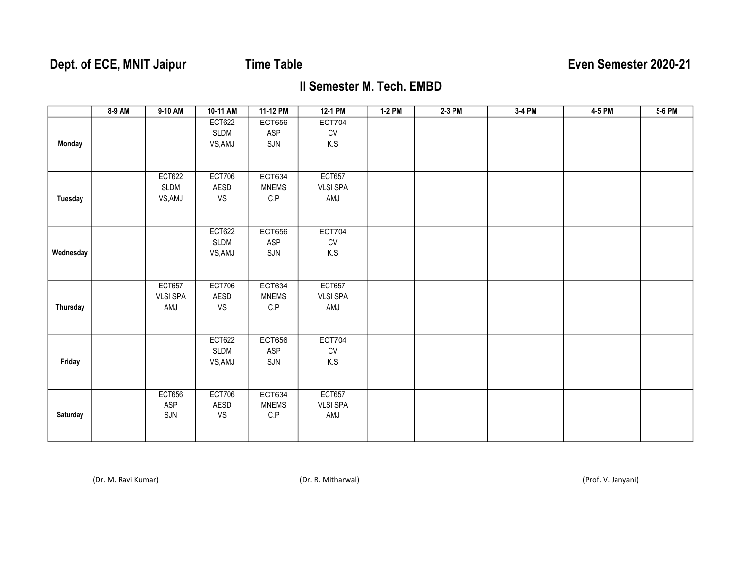# Dept. of ECE, MNIT Jaipur Time Table **The Senetial Strutter Control** Even Semester 2020-21

## II Semester M. Tech. EMBD

|           | 8-9 AM | 9-10 AM                                 | 10-11 AM                         | 11-12 PM                                                 | 12-1 PM                                 | 1-2 PM | $2-3$ PM | 3-4 PM | 4-5 PM | 5-6 PM |
|-----------|--------|-----------------------------------------|----------------------------------|----------------------------------------------------------|-----------------------------------------|--------|----------|--------|--------|--------|
| Monday    |        |                                         | <b>ECT622</b><br>SLDM<br>VS, AMJ | <b>ECT656</b><br>ASP<br>SJN                              | <b>ECT704</b><br>CV<br>K.S              |        |          |        |        |        |
| Tuesday   |        | <b>ECT622</b><br>SLDM<br>VS, AMJ        | <b>ECT706</b><br>AESD<br>VS      | <b>ECT634</b><br><b>MNEMS</b><br>$\mathsf{C}.\mathsf{P}$ | <b>ECT657</b><br><b>VLSI SPA</b><br>AMJ |        |          |        |        |        |
| Wednesday |        |                                         | <b>ECT622</b><br>SLDM<br>VS, AMJ | <b>ECT656</b><br>ASP<br>SJN                              | <b>ECT704</b><br>CV<br>K.S              |        |          |        |        |        |
| Thursday  |        | <b>ECT657</b><br><b>VLSI SPA</b><br>AMJ | <b>ECT706</b><br>AESD<br>VS      | ECT634<br><b>MNEMS</b><br>C.P                            | <b>ECT657</b><br><b>VLSI SPA</b><br>AMJ |        |          |        |        |        |
| Friday    |        |                                         | <b>ECT622</b><br>SLDM<br>VS, AMJ | <b>ECT656</b><br>ASP<br>SJN                              | <b>ECT704</b><br>CV<br>K.S              |        |          |        |        |        |
| Saturday  |        | <b>ECT656</b><br>ASP<br>SJN             | <b>ECT706</b><br>AESD<br>VS      | <b>ECT634</b><br><b>MNEMS</b><br>$\mathsf{C}.\mathsf{P}$ | <b>ECT657</b><br><b>VLSI SPA</b><br>AMJ |        |          |        |        |        |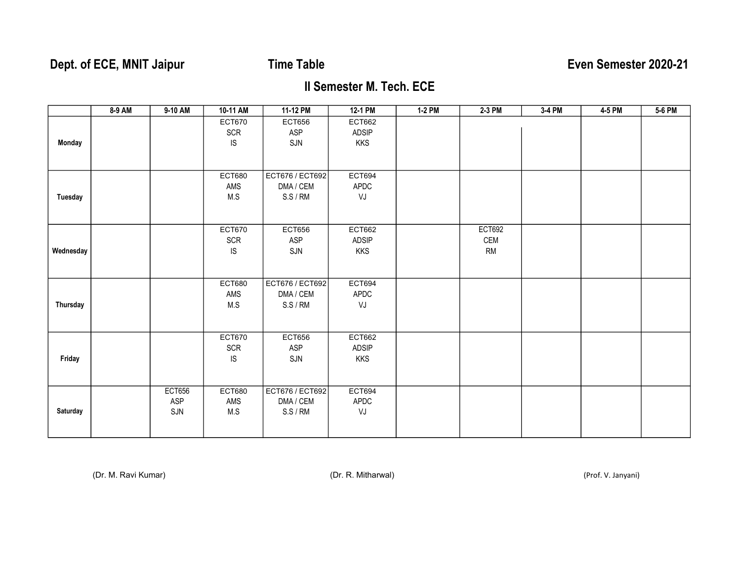# Dept. of ECE, MNIT Jaipur Time Table **The Senation Server Semester 2020-21**

### II Semester M. Tech. ECE

|           | 8-9 AM | 9-10 AM       | 10-11 AM      | 11-12 PM        | 12-1 PM       | 1-2 PM | 2-3 PM        | 3-4 PM | 4-5 PM | 5-6 PM |
|-----------|--------|---------------|---------------|-----------------|---------------|--------|---------------|--------|--------|--------|
|           |        |               | <b>ECT670</b> | <b>ECT656</b>   | ECT662        |        |               |        |        |        |
|           |        |               | <b>SCR</b>    | ASP             | ADSIP         |        |               |        |        |        |
| Monday    |        |               | IS            | SJN             | <b>KKS</b>    |        |               |        |        |        |
|           |        |               |               |                 |               |        |               |        |        |        |
|           |        |               | <b>ECT680</b> | ECT676 / ECT692 | ECT694        |        |               |        |        |        |
|           |        |               | AMS           | DMA / CEM       | APDC          |        |               |        |        |        |
| Tuesday   |        |               | M.S           | S.S/RM          | VJ            |        |               |        |        |        |
|           |        |               |               |                 |               |        |               |        |        |        |
|           |        |               |               |                 |               |        |               |        |        |        |
|           |        |               | <b>ECT670</b> | <b>ECT656</b>   | ECT662        |        | <b>ECT692</b> |        |        |        |
|           |        |               | <b>SCR</b>    | ASP             | ADSIP         |        | CEM           |        |        |        |
| Wednesday |        |               | IS            | SJN             | <b>KKS</b>    |        | <b>RM</b>     |        |        |        |
|           |        |               |               |                 |               |        |               |        |        |        |
|           |        |               | <b>ECT680</b> | ECT676 / ECT692 | ECT694        |        |               |        |        |        |
|           |        |               | AMS           | DMA / CEM       | APDC          |        |               |        |        |        |
| Thursday  |        |               | M.S           | S.S/RM          | VJ            |        |               |        |        |        |
|           |        |               |               |                 |               |        |               |        |        |        |
|           |        |               |               |                 |               |        |               |        |        |        |
|           |        |               | <b>ECT670</b> | <b>ECT656</b>   | ECT662        |        |               |        |        |        |
|           |        |               | <b>SCR</b>    | ASP             | ADSIP         |        |               |        |        |        |
| Friday    |        |               | IS            | SJN             | <b>KKS</b>    |        |               |        |        |        |
|           |        |               |               |                 |               |        |               |        |        |        |
|           |        | <b>ECT656</b> | <b>ECT680</b> | ECT676 / ECT692 | <b>ECT694</b> |        |               |        |        |        |
|           |        | ASP           | AMS           | DMA / CEM       | APDC          |        |               |        |        |        |
| Saturday  |        | SJN           | $M.S$         | S.S/RM          | VJ            |        |               |        |        |        |
|           |        |               |               |                 |               |        |               |        |        |        |
|           |        |               |               |                 |               |        |               |        |        |        |